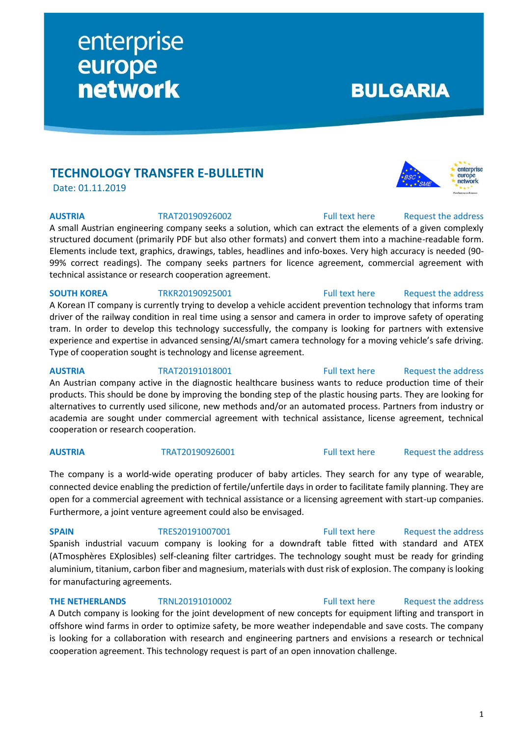## **TECHNOLOGY TRANSFER E-BULLETIN**

enterprise

**network** 

europe

Date: 01.11.2019

### **AUSTRIA** TRAT20190926002 [Full text here](https://een.ec.europa.eu/tools/services/PRO/Profile/Detail/d6185f95-59fe-431f-99e5-55c4797d8b58) Request [the address](http://www.een.bg/index.php?option=com_rsform&formId=13)

A small Austrian engineering company seeks a solution, which can extract the elements of a given complexly structured document (primarily PDF but also other formats) and convert them into a machine-readable form. Elements include text, graphics, drawings, tables, headlines and info-boxes. Very high accuracy is needed (90- 99% correct readings). The company seeks partners for licence agreement, commercial agreement with technical assistance or research cooperation agreement.

A Korean IT company is currently trying to develop a vehicle accident prevention technology that informs tram driver of the railway condition in real time using a sensor and camera in order to improve safety of operating tram. In order to develop this technology successfully, the company is looking for partners with extensive experience and expertise in advanced sensing/AI/smart camera technology for a moving vehicle's safe driving. Type of cooperation sought is technology and license agreement.

**AUSTRIA** TRAT20191018001 [Full text here](https://een.ec.europa.eu/tools/services/PRO/Profile/Detail/bfa6821a-8bad-4bb8-b329-ae85fd9affe1) Request [the address](http://www.een.bg/index.php?option=com_rsform&formId=13) An Austrian company active in the diagnostic healthcare business wants to reduce production time of their products. This should be done by improving the bonding step of the plastic housing parts. They are looking for alternatives to currently used silicone, new methods and/or an automated process. Partners from industry or academia are sought under commercial agreement with technical assistance, license agreement, technical cooperation or research cooperation.

The company is a world-wide operating producer of baby articles. They search for any type of wearable, connected device enabling the prediction of fertile/unfertile days in order to facilitate family planning. They are open for a commercial agreement with technical assistance or a licensing agreement with start-up companies. Furthermore, a joint venture agreement could also be envisaged.

**SPAIN** TRES20191007001 [Full text here](https://een.ec.europa.eu/tools/services/PRO/Profile/Detail/e135013a-ef67-4ad2-aa49-d39e96a30a1d) Request the address Spanish industrial vacuum company is looking for a downdraft table fitted with standard and ATEX (ATmosphères EXplosibles) self-cleaning filter cartridges. The technology sought must be ready for grinding aluminium, titanium, carbon fiber and magnesium, materials with dust risk of explosion. The company is looking for manufacturing agreements.

A Dutch company is looking for the joint development of new concepts for equipment lifting and transport in offshore wind farms in order to optimize safety, be more weather independable and save costs. The company is looking for a collaboration with research and engineering partners and envisions a research or technical cooperation agreement. This technology request is part of an open innovation challenge.

## **SOUTH KOREA** TRKR20190925001 [Full text here](https://een.ec.europa.eu/tools/services/PRO/Profile/Detail/7a2db4ce-9889-4041-a018-d91a44eb220c) Request the address

## **AUSTRIA** TRAT20190926001 [Full text here](https://een.ec.europa.eu/tools/services/PRO/Profile/Detail/76472c23-afd7-4f61-aa9f-09cfcec91895) Request [the address](http://www.een.bg/index.php?option=com_rsform&formId=13)

## **THE NETHERLANDS** TRNL20191010002 [Full text here](https://een.ec.europa.eu/tools/services/PRO/Profile/Detail/c61315f4-238a-4eb0-884b-5380a2ccd4ac) Request the address

## enterprise europe network

**BULGARIA** 

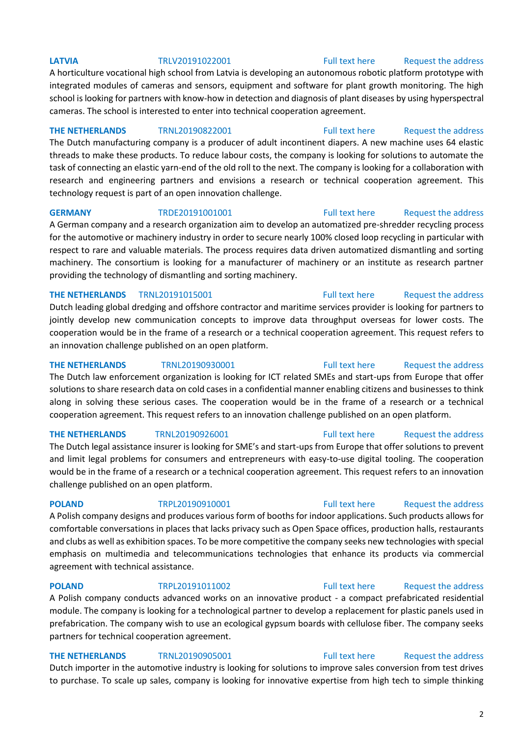A horticulture vocational high school from Latvia is developing an autonomous robotic platform prototype with integrated modules of cameras and sensors, equipment and software for plant growth monitoring. The high school is looking for partners with know-how in detection and diagnosis of plant diseases by using hyperspectral cameras. The school is interested to enter into technical cooperation agreement.

**THE NETHERLANDS** TRNL20190822001 [Full text here](https://een.ec.europa.eu/tools/services/PRO/Profile/Detail/ea33d2ac-eaea-48da-8d1e-e3ef46d6a0ab) Request [the address](http://www.een.bg/index.php?option=com_rsform&formId=13) The Dutch manufacturing company is a producer of adult incontinent diapers. A new machine uses 64 elastic threads to make these products. To reduce labour costs, the company is looking for solutions to automate the task of connecting an elastic yarn-end of the old roll to the next. The company is looking for a collaboration with research and engineering partners and envisions a research or technical cooperation agreement. This technology request is part of an open innovation challenge.

A German company and a research organization aim to develop an automatized pre-shredder recycling process for the automotive or machinery industry in order to secure nearly 100% closed loop recycling in particular with respect to rare and valuable materials. The process requires data driven automatized dismantling and sorting machinery. The consortium is looking for a manufacturer of machinery or an institute as research partner providing the technology of dismantling and sorting machinery.

## **THE NETHERLANDS** TRNL20191015001 **Full text here** Request the address

Dutch leading global dredging and offshore contractor and maritime services provider is looking for partners to jointly develop new communication concepts to improve data throughput overseas for lower costs. The cooperation would be in the frame of a research or a technical cooperation agreement. This request refers to an innovation challenge published on an open platform.

### **THE NETHERLANDS** TRNL20190930001 [Full text here](https://een.ec.europa.eu/tools/services/PRO/Profile/Detail/3dccbe13-a8b9-4855-810f-ffd3f4aeb664) Request [the address](http://www.een.bg/index.php?option=com_rsform&formId=13)

The Dutch law enforcement organization is looking for ICT related SMEs and start-ups from Europe that offer solutions to share research data on cold cases in a confidential manner enabling citizens and businesses to think along in solving these serious cases. The cooperation would be in the frame of a research or a technical cooperation agreement. This request refers to an innovation challenge published on an open platform.

### **THE NETHERLANDS** TRNL20190926001 [Full text here](https://een.ec.europa.eu/tools/services/PRO/Profile/Detail/d0d920ae-aa55-4b65-8968-8614145fbf03) Request the address

The Dutch legal assistance insurer is looking for SME's and start-ups from Europe that offer solutions to prevent and limit legal problems for consumers and entrepreneurs with easy-to-use digital tooling. The cooperation would be in the frame of a research or a technical cooperation agreement. This request refers to an innovation challenge published on an open platform.

A Polish company designs and produces various form of booths for indoor applications. Such products allows for comfortable conversations in places that lacks privacy such as Open Space offices, production halls, restaurants and clubs as well as exhibition spaces. To be more competitive the company seeks new technologies with special emphasis on multimedia and telecommunications technologies that enhance its products via commercial agreement with technical assistance.

## **POLAND** TRPL20191011002 [Full text here](https://een.ec.europa.eu/tools/services/PRO/Profile/Detail/57a9ad1a-b669-4266-82eb-ef94ec1821c2) Request the address

A Polish company conducts advanced works on an innovative product - a compact prefabricated residential module. The company is looking for a technological partner to develop a replacement for plastic panels used in prefabrication. The company wish to use an ecological gypsum boards with cellulose fiber. The company seeks partners for technical cooperation agreement.

## **THE NETHERLANDS** TRNL20190905001 [Full text here](https://een.ec.europa.eu/tools/services/PRO/Profile/Detail/21ba7f03-4add-48b0-9581-71ad316146a2) Request the address Dutch importer in the automotive industry is looking for solutions to improve sales conversion from test drives

to purchase. To scale up sales, company is looking for innovative expertise from high tech to simple thinking

## **GERMANY** TRDE20191001001 [Full text here](https://een.ec.europa.eu/tools/services/PRO/Profile/Detail/bdaa6654-b151-48b8-94fc-0ab068049e4b) Request the address

## **POLAND** TRPL20190910001 [Full text here](https://een.ec.europa.eu/tools/services/PRO/Profile/Detail/52140dbc-32dc-47fc-a2e8-195d5653cc63) Request the address

2

### **LATVIA** TRLV20191022001 [Full text here](https://een.ec.europa.eu/tools/services/PRO/Profile/Detail/5bc76c9d-2b2f-475c-82e7-4bde2bc7f953) Request [the address](http://www.een.bg/index.php?option=com_rsform&formId=13)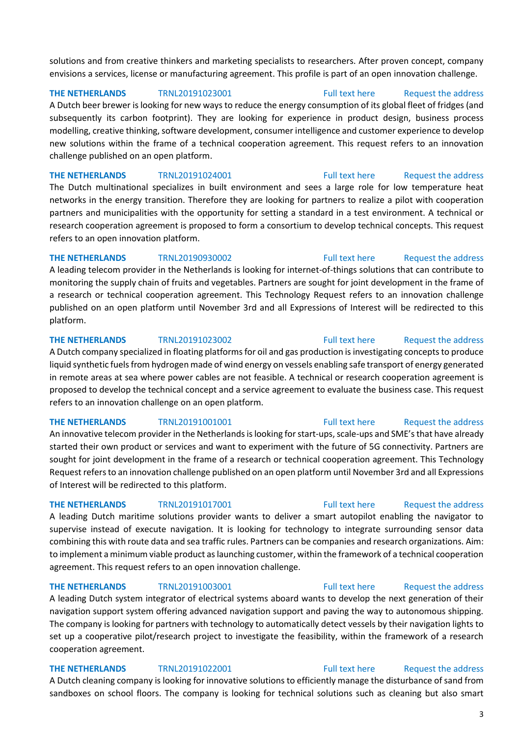solutions and from creative thinkers and marketing specialists to researchers. After proven concept, company envisions a services, license or manufacturing agreement. This profile is part of an open innovation challenge.

## **THE NETHERLANDS** TRNL20191023001 [Full text here](https://een.ec.europa.eu/tools/services/PRO/Profile/Detail/75bcf0c8-3546-4b4b-9f12-c56ce6831abd) Request the address

A Dutch beer brewer is looking for new ways to reduce the energy consumption of its global fleet of fridges (and subsequently its carbon footprint). They are looking for experience in product design, business process modelling, creative thinking, software development, consumer intelligence and customer experience to develop new solutions within the frame of a technical cooperation agreement. This request refers to an innovation challenge published on an open platform.

**THE NETHERLANDS** TRNL20191024001 [Full text here](https://een.ec.europa.eu/tools/services/PRO/Profile/Detail/38117ff7-a5c2-4892-b4ad-6a43fa9ca1d5) Request the address The Dutch multinational specializes in built environment and sees a large role for low temperature heat networks in the energy transition. Therefore they are looking for partners to realize a pilot with cooperation partners and municipalities with the opportunity for setting a standard in a test environment. A technical or research cooperation agreement is proposed to form a consortium to develop technical concepts. This request refers to an open innovation platform.

**THE NETHERLANDS** TRNL20190930002 [Full text here](https://een.ec.europa.eu/tools/services/PRO/Profile/Detail/0c01d6d7-2cd7-474a-b9bd-4ed1f7d1c2e7) Request the address

A leading telecom provider in the Netherlands is looking for internet-of-things solutions that can contribute to monitoring the supply chain of fruits and vegetables. Partners are sought for joint development in the frame of a research or technical cooperation agreement. This Technology Request refers to an innovation challenge published on an open platform until November 3rd and all Expressions of Interest will be redirected to this platform.

**THE NETHERLANDS** TRNL20191023002 [Full text here](https://een.ec.europa.eu/tools/services/PRO/Profile/Detail/f3320727-8082-4f90-a373-f0ba1b3c7e9d) Request the address A Dutch company specialized in floating platforms for oil and gas production is investigating concepts to produce liquid synthetic fuels from hydrogen made of wind energy on vessels enabling safe transport of energy generated in remote areas at sea where power cables are not feasible. A technical or research cooperation agreement is proposed to develop the technical concept and a service agreement to evaluate the business case. This request refers to an innovation challenge on an open platform.

## **THE NETHERLANDS** TRNL20191001001 [Full text here](https://een.ec.europa.eu/tools/services/PRO/Profile/Detail/d0cdf991-3e5c-413d-80cb-7553e3e868dd) Request the address

An innovative telecom provider in the Netherlands is looking for start-ups, scale-ups and SME's that have already started their own product or services and want to experiment with the future of 5G connectivity. Partners are sought for joint development in the frame of a research or technical cooperation agreement. This Technology Request refers to an innovation challenge published on an open platform until November 3rd and all Expressions of Interest will be redirected to this platform.

A leading Dutch maritime solutions provider wants to deliver a smart autopilot enabling the navigator to supervise instead of execute navigation. It is looking for technology to integrate surrounding sensor data combining this with route data and sea traffic rules. Partners can be companies and research organizations. Aim: to implement a minimum viable product as launching customer, within the framework of a technical cooperation agreement. This request refers to an open innovation challenge.

## **THE NETHERLANDS** TRNL20191003001 [Full text here](https://een.ec.europa.eu/tools/services/PRO/Profile/Detail/eaca0e4c-185d-465a-800d-a5def485f286) Request the address

A leading Dutch system integrator of electrical systems aboard wants to develop the next generation of their navigation support system offering advanced navigation support and paving the way to autonomous shipping. The company is looking for partners with technology to automatically detect vessels by their navigation lights to set up a cooperative pilot/research project to investigate the feasibility, within the framework of a research cooperation agreement.

**THE NETHERLANDS** TRNL20191022001 [Full text here](https://een.ec.europa.eu/tools/services/PRO/Profile/Detail/00df54a9-24fc-4739-8497-35e35b6ba504) Request the address A Dutch cleaning company is looking for innovative solutions to efficiently manage the disturbance of sand from sandboxes on school floors. The company is looking for technical solutions such as cleaning but also smart

## **THE NETHERLANDS** TRNL20191017001 [Full text here](https://een.ec.europa.eu/tools/services/PRO/Profile/Detail/1bfc10cc-bf76-46d7-91c9-18d12db45a17) Request the address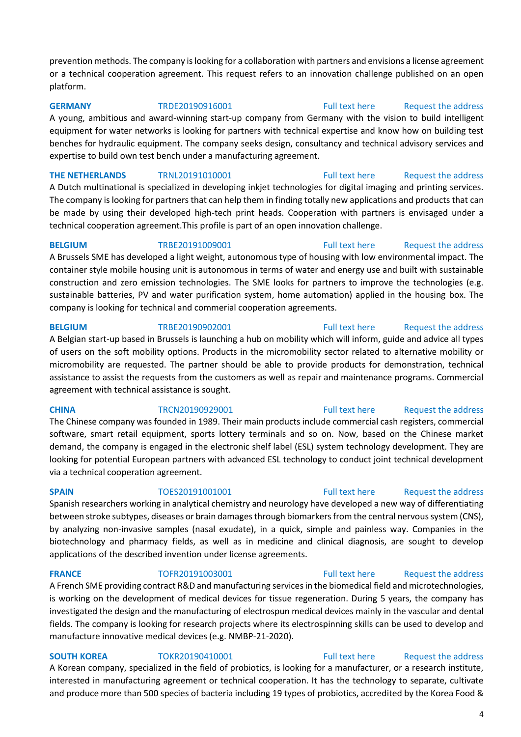prevention methods. The company is looking for a collaboration with partners and envisions a license agreement or a technical cooperation agreement. This request refers to an innovation challenge published on an open platform.

## **GERMANY** TRDE20190916001 [Full text here](https://een.ec.europa.eu/tools/services/PRO/Profile/Detail/aea209c6-2505-4ae6-b816-391a8a0fcaf9) Request the address

A young, ambitious and award-winning start-up company from Germany with the vision to build intelligent equipment for water networks is looking for partners with technical expertise and know how on building test benches for hydraulic equipment. The company seeks design, consultancy and technical advisory services and expertise to build own test bench under a manufacturing agreement.

### **THE NETHERLANDS** TRNL20191010001 [Full text here](https://een.ec.europa.eu/tools/services/PRO/Profile/Detail/38296acd-eb69-4caa-aeca-c5623fe96cde) Request the address

A Dutch multinational is specialized in developing inkjet technologies for digital imaging and printing services. The company is looking for partners that can help them in finding totally new applications and products that can be made by using their developed high-tech print heads. Cooperation with partners is envisaged under a technical cooperation agreement.This profile is part of an open innovation challenge.

### **BELGIUM** TRBE20191009001 [Full text here](https://een.ec.europa.eu/tools/services/PRO/Profile/Detail/dcca8476-34ea-4bf2-a63c-aa413e266e69) Request the address

## A Brussels SME has developed a light weight, autonomous type of housing with low environmental impact. The container style mobile housing unit is autonomous in terms of water and energy use and built with sustainable

construction and zero emission technologies. The SME looks for partners to improve the technologies (e.g. sustainable batteries, PV and water purification system, home automation) applied in the housing box. The company is looking for technical and commerial cooperation agreements.

## **BELGIUM** TRBE20190902001 [Full text here](https://een.ec.europa.eu/tools/services/PRO/Profile/Detail/0a20e67b-dcb5-4ded-a406-9322a7ef4a72) Request the address A Belgian start-up based in Brussels is launching a hub on mobility which will inform, guide and advice all types of users on the soft mobility options. Products in the micromobility sector related to alternative mobility or micromobility are requested. The partner should be able to provide products for demonstration, technical assistance to assist the requests from the customers as well as repair and maintenance programs. Commercial agreement with technical assistance is sought.

The Chinese company was founded in 1989. Their main products include commercial cash registers, commercial software, smart retail equipment, sports lottery terminals and so on. Now, based on the Chinese market demand, the company is engaged in the electronic shelf label (ESL) system technology development. They are looking for potential European partners with advanced ESL technology to conduct joint technical development via a technical cooperation agreement.

## Spanish researchers working in analytical chemistry and neurology have developed a new way of differentiating between stroke subtypes, diseases or brain damages through biomarkers from the central nervous system (CNS), by analyzing non-invasive samples (nasal exudate), in a quick, simple and painless way. Companies in the biotechnology and pharmacy fields, as well as in medicine and clinical diagnosis, are sought to develop applications of the described invention under license agreements.

A French SME providing contract R&D and manufacturing services in the biomedical field and microtechnologies, is working on the development of medical devices for tissue regeneration. During 5 years, the company has investigated the design and the manufacturing of electrospun medical devices mainly in the vascular and dental fields. The company is looking for research projects where its electrospinning skills can be used to develop and manufacture innovative medical devices (e.g. NMBP-21-2020).

### **SOUTH KOREA** TOKR20190410001 [Full text here](https://een.ec.europa.eu/tools/services/PRO/Profile/Detail/704c5129-f04d-4185-aa33-25e9c9cbaa5a) Request the address

A Korean company, specialized in the field of probiotics, is looking for a manufacturer, or a research institute, interested in manufacturing agreement or technical cooperation. It has the technology to separate, cultivate and produce more than 500 species of bacteria including 19 types of probiotics, accredited by the Korea Food &

## **CHINA** TRCN20190929001 [Full text here](https://een.ec.europa.eu/tools/services/PRO/Profile/Detail/0a39011e-c026-4ef1-9b35-00d428550bc8) Request the address

## **SPAIN** TOES20191001001 [Full text here](https://een.ec.europa.eu/tools/services/PRO/Profile/Detail/09cddc06-d81e-47d6-8df7-9ab9fe20e69b) Request the address

## **FRANCE** TOFR20191003001 [Full text here](https://een.ec.europa.eu/tools/services/PRO/Profile/Detail/2b022f10-f28a-40a6-87d3-5f009600fc3f) Request the address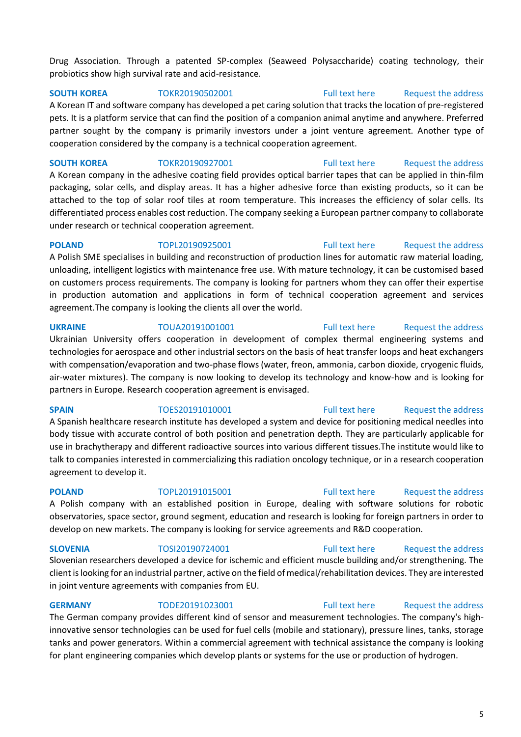Drug Association. Through a patented SP-complex (Seaweed Polysaccharide) coating technology, their probiotics show high survival rate and acid-resistance.

**SOUTH KOREA** TOKR20190502001 [Full text here](https://een.ec.europa.eu/tools/services/PRO/Profile/Detail/4e256b81-178b-4e40-980e-3f81e0fbc174) Request the address A Korean IT and software company has developed a pet caring solution that tracks the location of pre-registered pets. It is a platform service that can find the position of a companion animal anytime and anywhere. Preferred partner sought by the company is primarily investors under a joint venture agreement. Another type of cooperation considered by the company is a technical cooperation agreement.

**SOUTH KOREA** TOKR20190927001 [Full text here](https://een.ec.europa.eu/tools/services/PRO/Profile/Detail/87171a36-59f4-4b33-9c86-29d679faf8fe) Request the address A Korean company in the adhesive coating field provides optical barrier tapes that can be applied in thin-film packaging, solar cells, and display areas. It has a higher adhesive force than existing products, so it can be attached to the top of solar roof tiles at room temperature. This increases the efficiency of solar cells. Its differentiated process enables cost reduction. The company seeking a European partner company to collaborate under research or technical cooperation agreement.

**POLAND** TOPL20190925001 [Full text here](https://een.ec.europa.eu/tools/services/PRO/Profile/Detail/749d1615-c1f1-4e9d-8a05-8246421d69bc) Request the address

A Polish SME specialises in building and reconstruction of production lines for automatic raw material loading, unloading, intelligent logistics with maintenance free use. With mature technology, it can be customised based on customers process requirements. The company is looking for partners whom they can offer their expertise in production automation and applications in form of technical cooperation agreement and services agreement.The company is looking the clients all over the world.

**UKRAINE** TOUA20191001001 [Full text here](https://een.ec.europa.eu/tools/services/PRO/Profile/Detail/964878cc-19d4-4724-a415-81a43e89c179) Request the address Ukrainian University offers cooperation in development of complex thermal engineering systems and technologies for aerospace and other industrial sectors on the basis of heat transfer loops and heat exchangers with compensation/evaporation and two-phase flows (water, freon, ammonia, carbon dioxide, cryogenic fluids, air-water mixtures). The company is now looking to develop its technology and know-how and is looking for partners in Europe. Research cooperation agreement is envisaged.

A Spanish healthcare research institute has developed a system and device for positioning medical needles into body tissue with accurate control of both position and penetration depth. They are particularly applicable for use in brachytherapy and different radioactive sources into various different tissues.The institute would like to talk to companies interested in commercializing this radiation oncology technique, or in a research cooperation agreement to develop it.

**POLAND** TOPL20191015001 [Full text here](https://een.ec.europa.eu/tools/services/PRO/Profile/Detail/71c9ae87-f9ff-4807-8115-784fbb9ab1e1) Request the address A Polish company with an established position in Europe, dealing with software solutions for robotic observatories, space sector, ground segment, education and research is looking for foreign partners in order to develop on new markets. The company is looking for service agreements and R&D cooperation.

**SLOVENIA** TOSI20190724001 [Full text here](https://een.ec.europa.eu/tools/services/PRO/Profile/Detail/e601a0a1-05f0-486e-8a2b-3aa8aeb1017b) Request the address Slovenian researchers developed a device for ischemic and efficient muscle building and/or strengthening. The client is looking for an industrial partner, active on the field of medical/rehabilitation devices. They are interested in joint venture agreements with companies from EU.

## **GERMANY** TODE20191023001 [Full text here](https://een.ec.europa.eu/tools/services/PRO/Profile/Detail/43f56cc4-ca50-458a-b0e0-dd4a57dbb35b) Request the address The German company provides different kind of sensor and measurement technologies. The company's highinnovative sensor technologies can be used for fuel cells (mobile and stationary), pressure lines, tanks, storage tanks and power generators. Within a commercial agreement with technical assistance the company is looking for plant engineering companies which develop plants or systems for the use or production of hydrogen.

## **SPAIN** TOES20191010001 [Full text here](https://een.ec.europa.eu/tools/services/PRO/Profile/Detail/c7d8487b-491f-4957-a2e3-07afc8ddb5c2) Request the address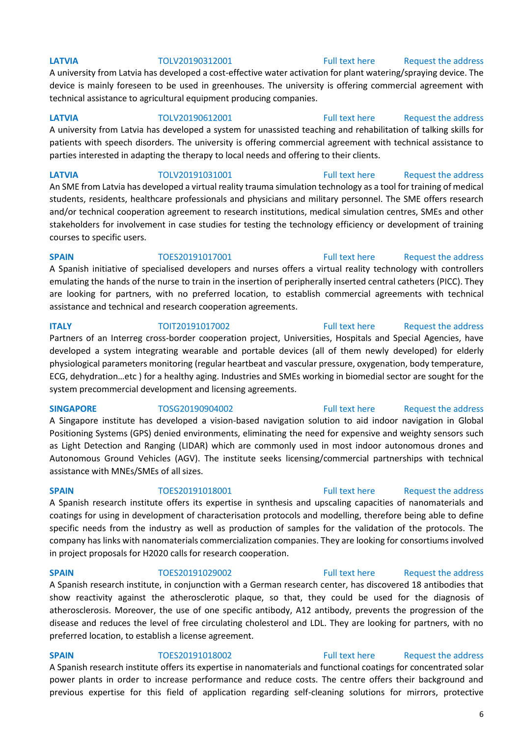## **LATVIA** TOLV20190312001 [Full text here](https://een.ec.europa.eu/tools/services/PRO/Profile/Detail/9eace36d-e7be-4cc1-9857-88923390018e) Request the address

A university from Latvia has developed a cost-effective water activation for plant watering/spraying device. The device is mainly foreseen to be used in greenhouses. The university is offering commercial agreement with technical assistance to agricultural equipment producing companies.

### **LATVIA** TOLV20190612001 [Full text here](https://een.ec.europa.eu/tools/services/PRO/Profile/Detail/f9376dfe-31e0-4782-9c9f-016d9daf2ac1) Request the address

A university from Latvia has developed a system for unassisted teaching and rehabilitation of talking skills for patients with speech disorders. The university is offering commercial agreement with technical assistance to parties interested in adapting the therapy to local needs and offering to their clients.

## **LATVIA** TOLV20191031001 [Full text here](https://een.ec.europa.eu/tools/services/PRO/Profile/Detail/4031d62c-f3fe-4676-b1cd-b6deee4588b6) Request the address

An SME from Latvia has developed a virtual reality trauma simulation technology as a tool for training of medical students, residents, healthcare professionals and physicians and military personnel. The SME offers research and/or technical cooperation agreement to research institutions, medical simulation centres, SMEs and other stakeholders for involvement in case studies for testing the technology efficiency or development of training courses to specific users.

**SPAIN** TOES20191017001 [Full text here](https://een.ec.europa.eu/tools/services/PRO/Profile/Detail/e97bdd2c-01b8-493b-b916-285b83d2e402) Request the address A Spanish initiative of specialised developers and nurses offers a virtual reality technology with controllers emulating the hands of the nurse to train in the insertion of peripherally inserted central catheters (PICC). They are looking for partners, with no preferred location, to establish commercial agreements with technical assistance and technical and research cooperation agreements.

## **ITALY TOIT20191017002** [Full text here](https://een.ec.europa.eu/tools/services/PRO/Profile/Detail/e74f8922-229b-4a45-ad6f-584980238ad1) Request the address

Partners of an Interreg cross-border cooperation project, Universities, Hospitals and Special Agencies, have developed a system integrating wearable and portable devices (all of them newly developed) for elderly physiological parameters monitoring (regular heartbeat and vascular pressure, oxygenation, body temperature, ECG, dehydration…etc ) for a healthy aging. Industries and SMEs working in biomedial sector are sought for the system precommercial development and licensing agreements.

A Singapore institute has developed a vision-based navigation solution to aid indoor navigation in Global Positioning Systems (GPS) denied environments, eliminating the need for expensive and weighty sensors such as Light Detection and Ranging (LIDAR) which are commonly used in most indoor autonomous drones and Autonomous Ground Vehicles (AGV). The institute seeks licensing/commercial partnerships with technical assistance with MNEs/SMEs of all sizes.

## A Spanish research institute offers its expertise in synthesis and upscaling capacities of nanomaterials and coatings for using in development of characterisation protocols and modelling, therefore being able to define specific needs from the industry as well as production of samples for the validation of the protocols. The company has links with nanomaterials commercialization companies. They are looking for consortiums involved in project proposals for H2020 calls for research cooperation.

## **SPAIN** TOES20191029002 [Full text here](https://een.ec.europa.eu/tools/services/PRO/Profile/Detail/c25dfd70-9f7a-4f1e-b750-345fbb15bd6c) Request the address

A Spanish research institute, in conjunction with a German research center, has discovered 18 antibodies that show reactivity against the atherosclerotic plaque, so that, they could be used for the diagnosis of atherosclerosis. Moreover, the use of one specific antibody, A12 antibody, prevents the progression of the disease and reduces the level of free circulating cholesterol and LDL. They are looking for partners, with no preferred location, to establish a license agreement.

## **SPAIN** TOES20191018002 [Full text here](https://een.ec.europa.eu/tools/services/PRO/Profile/Detail/043e6870-394c-49c4-8bb3-e447d22d492f) Request the address A Spanish research institute offers its expertise in nanomaterials and functional coatings for concentrated solar power plants in order to increase performance and reduce costs. The centre offers their background and previous expertise for this field of application regarding self-cleaning solutions for mirrors, protective

## 6

## **SINGAPORE** TOSG20190904002 [Full text here](https://een.ec.europa.eu/tools/services/PRO/Profile/Detail/ddefbfa8-5198-4f39-b324-dfde766573df) Request the address

## **SPAIN** TOES20191018001 [Full text here](https://een.ec.europa.eu/tools/services/PRO/Profile/Detail/9cd6d501-5807-4453-a260-643e417538eb) Request the address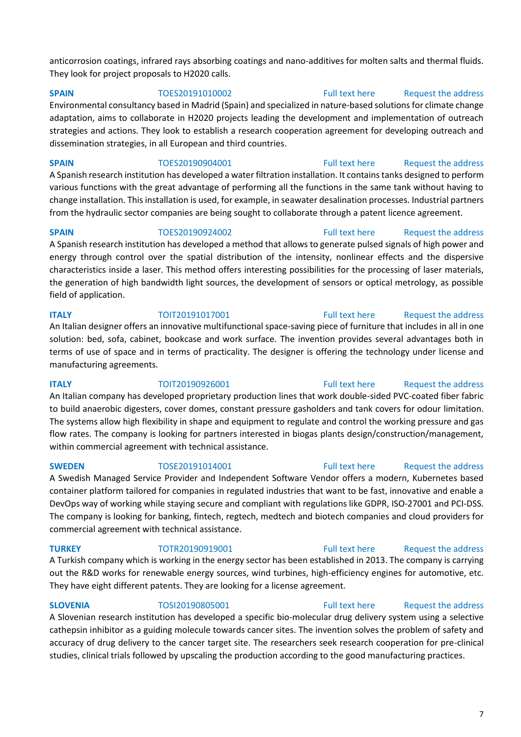anticorrosion coatings, infrared rays absorbing coatings and nano-additives for molten salts and thermal fluids. They look for project proposals to H2020 calls.

**SPAIN** TOES20191010002 [Full text here](https://een.ec.europa.eu/tools/services/PRO/Profile/Detail/5f6959a5-c7fc-4737-b466-664192184521) Request the address

Environmental consultancy based in Madrid (Spain) and specialized in nature-based solutions for climate change adaptation, aims to collaborate in H2020 projects leading the development and implementation of outreach strategies and actions. They look to establish a research cooperation agreement for developing outreach and dissemination strategies, in all European and third countries.

**SPAIN** TOES20190904001 [Full text here](https://een.ec.europa.eu/tools/services/PRO/Profile/Detail/9c4766a6-6e75-4af4-8d9b-579d4ce4cf15) Request the address A Spanish research institution has developed a water filtration installation. It contains tanks designed to perform various functions with the great advantage of performing all the functions in the same tank without having to change installation. This installation is used, for example, in seawater desalination processes. Industrial partners from the hydraulic sector companies are being sought to collaborate through a patent licence agreement.

**SPAIN** TOES20190924002 [Full text here](https://een.ec.europa.eu/tools/services/PRO/Profile/Detail/e33453e0-c37a-4507-8c3c-646d352f2ca8) Request the address

A Spanish research institution has developed a method that allows to generate pulsed signals of high power and energy through control over the spatial distribution of the intensity, nonlinear effects and the dispersive characteristics inside a laser. This method offers interesting possibilities for the processing of laser materials, the generation of high bandwidth light sources, the development of sensors or optical metrology, as possible field of application.

**ITALY TOIT20191017001 TELLY Full text here Request the address** An Italian designer offers an innovative multifunctional space-saving piece of furniture that includes in all in one solution: bed, sofa, cabinet, bookcase and work surface. The invention provides several advantages both in terms of use of space and in terms of practicality. The designer is offering the technology under license and manufacturing agreements.

**ITALY TOIT20190926001** [Full text here](https://een.ec.europa.eu/tools/services/PRO/Profile/Detail/a93e82fa-5193-41f0-83e9-ad86038380d2) Request the address An Italian company has developed proprietary production lines that work double-sided PVC-coated fiber fabric to build anaerobic digesters, cover domes, constant pressure gasholders and tank covers for odour limitation. The systems allow high flexibility in shape and equipment to regulate and control the working pressure and gas flow rates. The company is looking for partners interested in biogas plants design/construction/management, within commercial agreement with technical assistance.

**SWEDEN** TOSE20191014001 [Full text here](https://een.ec.europa.eu/tools/services/PRO/Profile/Detail/e2932578-0d1f-4851-a15b-a20fe8ed7b80) Request the address A Swedish Managed Service Provider and Independent Software Vendor offers a modern, Kubernetes based container platform tailored for companies in regulated industries that want to be fast, innovative and enable a DevOps way of working while staying secure and compliant with regulations like GDPR, ISO-27001 and PCI-DSS. The company is looking for banking, fintech, regtech, medtech and biotech companies and cloud providers for commercial agreement with technical assistance.

**TURKEY** TOTR20190919001 [Full text here](https://een.ec.europa.eu/tools/services/PRO/Profile/Detail/4ec865ef-c8fe-465b-9b5a-c5a683def45b) Request the address A Turkish company which is working in the energy sector has been established in 2013. The company is carrying out the R&D works for renewable energy sources, wind turbines, high-efficiency engines for automotive, etc. They have eight different patents. They are looking for a license agreement.

## **SLOVENIA** TOSI20190805001 [Full text here](https://een.ec.europa.eu/tools/services/PRO/Profile/Detail/8d016b33-dcd4-4a81-9e6b-852261f04a1c) Request the address

A Slovenian research institution has developed a specific bio-molecular drug delivery system using a selective cathepsin inhibitor as a guiding molecule towards cancer sites. The invention solves the problem of safety and accuracy of drug delivery to the cancer target site. The researchers seek research cooperation for pre-clinical studies, clinical trials followed by upscaling the production according to the good manufacturing practices.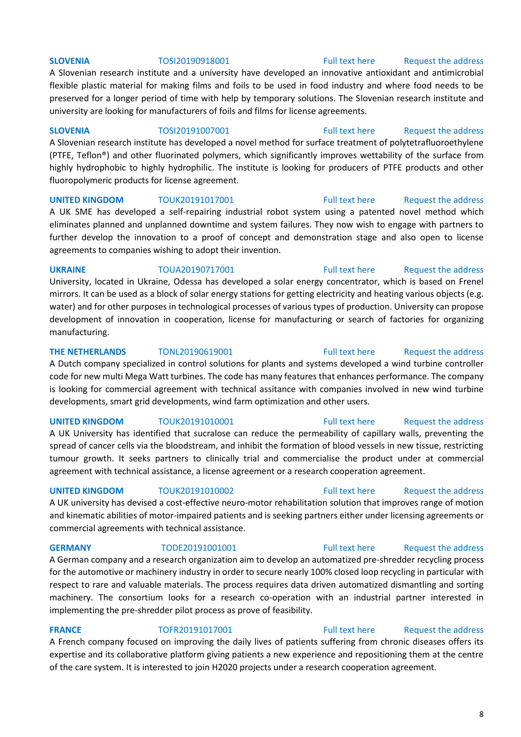A Slovenian research institute and a university have developed an innovative antioxidant and antimicrobial flexible plastic material for making films and foils to be used in food industry and where food needs to be preserved for a longer period of time with help by temporary solutions. The Slovenian research institute and university are looking for manufacturers of foils and films for license agreements.

**SLOVENIA** TOSI20191007001 [Full text here](https://een.ec.europa.eu/tools/services/PRO/Profile/Detail/93760198-544e-4315-b951-625193cf4ca5) [Request the address](http://www.een.bg/index.php?option=com_rsform&formId=13) 

A Slovenian research institute has developed a novel method for surface treatment of polytetrafluoroethylene (PTFE, Teflon®) and other fluorinated polymers, which significantly improves wettability of the surface from highly hydrophobic to highly hydrophilic. The institute is looking for producers of PTFE products and other fluoropolymeric products for license agreement.

**UNITED KINGDOM** TOUK20191017001 [Full text here](https://een.ec.europa.eu/tools/services/PRO/Profile/Detail/351a858a-64ed-4d26-8410-da36327c94db) Request the address

A UK SME has developed a self-repairing industrial robot system using a patented novel method which eliminates planned and unplanned downtime and system failures. They now wish to engage with partners to further develop the innovation to a proof of concept and demonstration stage and also open to license agreements to companies wishing to adopt their invention.

**UKRAINE** TOUA20190717001 [Full text here](https://een.ec.europa.eu/tools/services/PRO/Profile/Detail/fab41a03-8765-4455-909d-2e71e59dbbf7) Request the address University, located in Ukraine, Odessa has developed a solar energy concentrator, which is based on Frenel mirrors. It can be used as a block of solar energy stations for getting electricity and heating various objects (e.g. water) and for other purposes in technological processes of various types of production. University can propose development of innovation in cooperation, license for manufacturing or search of factories for organizing manufacturing.

**THE NETHERLANDS** TONL20190619001 [Full text here](https://een.ec.europa.eu/tools/services/PRO/Profile/Detail/c324348a-010d-4f82-8f4d-db6189dd54f1) Request the address A Dutch company specialized in control solutions for plants and systems developed a wind turbine controller code for new multi Mega Watt turbines. The code has many features that enhances performance. The company is looking for commercial agreement with technical assitance with companies involved in new wind turbine developments, smart grid developments, wind farm optimization and other users.

### **UNITED KINGDOM** TOUK20191010001 [Full text here](https://een.ec.europa.eu/tools/services/PRO/Profile/Detail/d5aebddb-61e6-4ad7-beb3-3b894cbff7df) Request the address

A UK University has identified that sucralose can reduce the permeability of capillary walls, preventing the spread of cancer cells via the bloodstream, and inhibit the formation of blood vessels in new tissue, restricting tumour growth. It seeks partners to clinically trial and commercialise the product under at commercial agreement with technical assistance, a license agreement or a research cooperation agreement.

A UK university has devised a cost-effective neuro-motor rehabilitation solution that improves range of motion and kinematic abilities of motor-impaired patients and is seeking partners either under licensing agreements or commercial agreements with technical assistance.

A German company and a research organization aim to develop an automatized pre-shredder recycling process for the automotive or machinery industry in order to secure nearly 100% closed loop recycling in particular with respect to rare and valuable materials. The process requires data driven automatized dismantling and sorting machinery. The consortium looks for a research co-operation with an industrial partner interested in implementing the pre-shredder pilot process as prove of feasibility.

**FRANCE** TOFR20191017001 [Full text here](https://een.ec.europa.eu/tools/services/PRO/Profile/Detail/6f4848c2-9382-45c1-a7f0-f1ba2df2c62a) Request the address A French company focused on improving the daily lives of patients suffering from chronic diseases offers its expertise and its collaborative platform giving patients a new experience and repositioning them at the centre of the care system. It is interested to join H2020 projects under a research cooperation agreement.

### **SLOVENIA** TOSI20190918001 [Full text here](https://een.ec.europa.eu/tools/services/PRO/Profile/Detail/3938eddc-b6ad-4126-a28e-fce2c7f9d120) Request the address

## **UNITED KINGDOM** TOUK20191010002 **Full text here** Request the address

## **GERMANY** TODE20191001001 [Full text here](https://een.ec.europa.eu/tools/services/PRO/Profile/Detail/44342359-c444-42d6-ac7a-bb233584c3ae) Request the address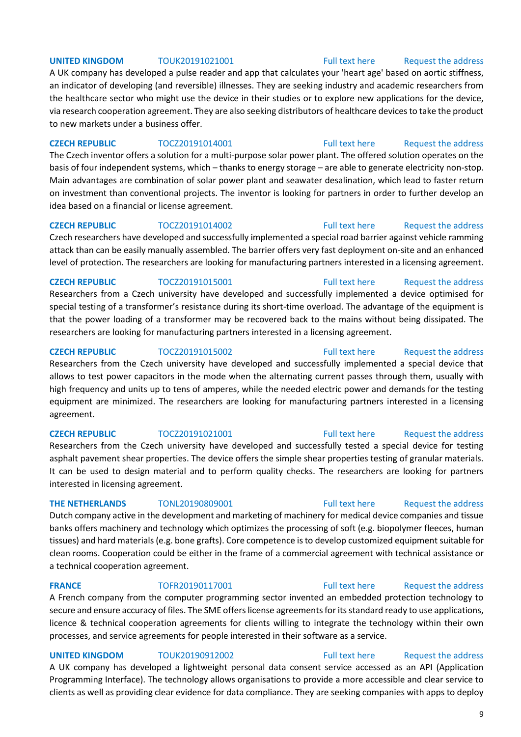## **UNITED KINGDOM** TOUK20191021001 [Full text here](https://een.ec.europa.eu/tools/services/PRO/Profile/Detail/a512b507-6d18-4a8b-9b0c-0143564f1c5c) Request the address

A UK company has developed a pulse reader and app that calculates your 'heart age' based on aortic stiffness, an indicator of developing (and reversible) illnesses. They are seeking industry and academic researchers from the healthcare sector who might use the device in their studies or to explore new applications for the device, via research cooperation agreement. They are also seeking distributors of healthcare devices to take the product to new markets under a business offer.

### **CZECH REPUBLIC** TOCZ20191014001 [Full text here](https://een.ec.europa.eu/tools/services/PRO/Profile/Detail/b845f98d-a5c6-4d38-8202-09f2d7224a22) Request the address

The Czech inventor offers a solution for a multi-purpose solar power plant. The offered solution operates on the basis of four independent systems, which – thanks to energy storage – are able to generate electricity non-stop. Main advantages are combination of solar power plant and seawater desalination, which lead to faster return on investment than conventional projects. The inventor is looking for partners in order to further develop an idea based on a financial or license agreement.

### **CZECH REPUBLIC** TOCZ20191014002 **Full text here** Request the address

Czech researchers have developed and successfully implemented a special road barrier against vehicle ramming attack than can be easily manually assembled. The barrier offers very fast deployment on-site and an enhanced level of protection. The researchers are looking for manufacturing partners interested in a licensing agreement.

Researchers from a Czech university have developed and successfully implemented a device optimised for special testing of a transformer's resistance during its short-time overload. The advantage of the equipment is that the power loading of a transformer may be recovered back to the mains without being dissipated. The researchers are looking for manufacturing partners interested in a licensing agreement.

Researchers from the Czech university have developed and successfully implemented a special device that allows to test power capacitors in the mode when the alternating current passes through them, usually with high frequency and units up to tens of amperes, while the needed electric power and demands for the testing equipment are minimized. The researchers are looking for manufacturing partners interested in a licensing agreement.

### **CZECH REPUBLIC** TOCZ20191021001 [Full text here](https://een.ec.europa.eu/tools/services/PRO/Profile/Detail/8ac43d78-468f-4f0a-8bdd-f6350bc4b6d6) Request the address

Researchers from the Czech university have developed and successfully tested a special device for testing asphalt pavement shear properties. The device offers the simple shear properties testing of granular materials. It can be used to design material and to perform quality checks. The researchers are looking for partners interested in licensing agreement.

Dutch company active in the development and marketing of machinery for medical device companies and tissue banks offers machinery and technology which optimizes the processing of soft (e.g. biopolymer fleeces, human tissues) and hard materials (e.g. bone grafts). Core competence is to develop customized equipment suitable for clean rooms. Cooperation could be either in the frame of a commercial agreement with technical assistance or a technical cooperation agreement.

## **FRANCE** TOFR20190117001 [Full text here](https://een.ec.europa.eu/tools/services/PRO/Profile/Detail/581b98fa-69bc-4323-a14c-b7b750df8d10) Request the address

A French company from the computer programming sector invented an embedded protection technology to secure and ensure accuracy of files. The SME offers license agreements for its standard ready to use applications, licence & technical cooperation agreements for clients willing to integrate the technology within their own processes, and service agreements for people interested in their software as a service.

## **UNITED KINGDOM** TOUK20190912002 [Full text here](https://een.ec.europa.eu/tools/services/PRO/Profile/Detail/dfc6f6a2-8ca3-4d54-8c51-9bd4045ea90f) Request the address

A UK company has developed a lightweight personal data consent service accessed as an API (Application Programming Interface). The technology allows organisations to provide a more accessible and clear service to clients as well as providing clear evidence for data compliance. They are seeking companies with apps to deploy

## **THE NETHERLANDS** TONL20190809001 [Full text here](https://een.ec.europa.eu/tools/services/PRO/Profile/Detail/d16c3f02-eda6-4bb7-adb2-f43ac5e402ce) Request the address

## 9

## **CZECH REPUBLIC** TOCZ20191015001 [Full text here](https://een.ec.europa.eu/tools/services/PRO/Profile/Detail/1f116e19-9f4c-461c-985d-d5d0ffe8fe87) Request the address

**CZECH REPUBLIC** TOCZ20191015002 [Full text here](https://een.ec.europa.eu/tools/services/PRO/Profile/Detail/2de15791-f8dc-4d18-9476-4d5a0debe96d) Request the address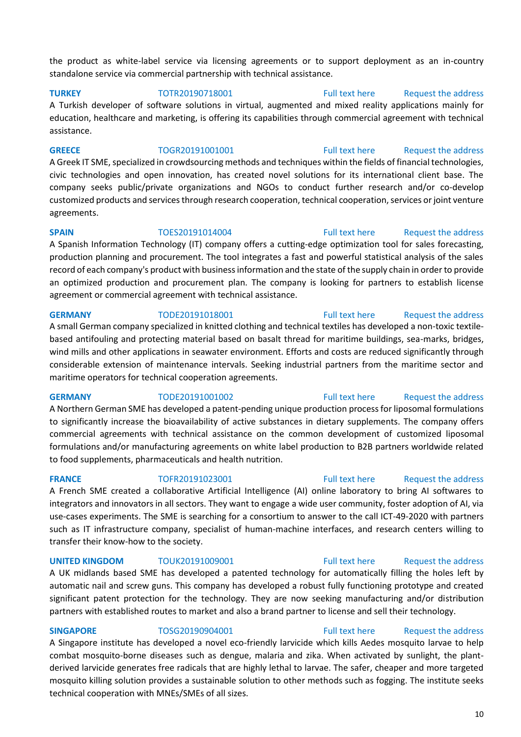the product as white-label service via licensing agreements or to support deployment as an in-country standalone service via commercial partnership with technical assistance.

**TURKEY** TOTR20190718001 [Full text here](https://een.ec.europa.eu/tools/services/PRO/Profile/Detail/63fbf52f-5c43-4929-8729-cb48eddac9c2) Request the address A Turkish developer of software solutions in virtual, augmented and mixed reality applications mainly for education, healthcare and marketing, is offering its capabilities through commercial agreement with technical assistance.

**GREECE** TOGR20191001001 [Full text here](https://een.ec.europa.eu/tools/services/PRO/Profile/Detail/ca7990ca-7451-4b02-a193-c6c31e6b8d14) Request the address A Greek IT SME, specialized in crowdsourcing methods and techniques within the fields of financial technologies, civic technologies and open innovation, has created novel solutions for its international client base. The company seeks public/private organizations and NGOs to conduct further research and/or co-develop customized products and services through research cooperation, technical cooperation, services or joint venture agreements.

**SPAIN** TOES20191014004 [Full text here](https://een.ec.europa.eu/tools/services/PRO/Profile/Detail/f0c9e3f9-4eca-45b3-850d-a2c8995500c7) Request the address A Spanish Information Technology (IT) company offers a cutting-edge optimization tool for sales forecasting, production planning and procurement. The tool integrates a fast and powerful statistical analysis of the sales record of each company's product with business information and the state of the supply chain in order to provide an optimized production and procurement plan. The company is looking for partners to establish license agreement or commercial agreement with technical assistance.

### **GERMANY** TODE20191018001 [Full text here](https://een.ec.europa.eu/tools/services/PRO/Profile/Detail/50b41846-68f3-431c-8eda-9c01d46475f5) Request the address

A small German company specialized in knitted clothing and technical textiles has developed a non-toxic textilebased antifouling and protecting material based on basalt thread for maritime buildings, sea-marks, bridges, wind mills and other applications in seawater environment. Efforts and costs are reduced significantly through considerable extension of maintenance intervals. Seeking industrial partners from the maritime sector and maritime operators for technical cooperation agreements.

**GERMANY** TODE20191001002 [Full text here](https://een.ec.europa.eu/tools/services/PRO/Profile/Detail/2e159a9f-6d71-46c3-91bd-5e065c7efe6e) Request the address

A Northern German SME has developed a patent-pending unique production process for liposomal formulations to significantly increase the bioavailability of active substances in dietary supplements. The company offers commercial agreements with technical assistance on the common development of customized liposomal formulations and/or manufacturing agreements on white label production to B2B partners worldwide related to food supplements, pharmaceuticals and health nutrition.

### **FRANCE** TOFR20191023001 [Full text here](https://een.ec.europa.eu/tools/services/PRO/Profile/Detail/d72aa7bb-94f2-46df-aa36-ec9117e599ae) Request the address

A French SME created a collaborative Artificial Intelligence (AI) online laboratory to bring AI softwares to integrators and innovators in all sectors. They want to engage a wide user community, foster adoption of AI, via use-cases experiments. The SME is searching for a consortium to answer to the call ICT-49-2020 with partners such as IT infrastructure company, specialist of human-machine interfaces, and research centers willing to transfer their know-how to the society.

## **UNITED KINGDOM** TOUK20191009001 [Full text here](https://een.ec.europa.eu/tools/services/PRO/Profile/Detail/67423f84-b9a5-4e8b-9319-3c49778d77c5) Request the address

A UK midlands based SME has developed a patented technology for automatically filling the holes left by automatic nail and screw guns. This company has developed a robust fully functioning prototype and created significant patent protection for the technology. They are now seeking manufacturing and/or distribution partners with established routes to market and also a brand partner to license and sell their technology.

**SINGAPORE** TOSG20190904001 [Full text here](https://een.ec.europa.eu/tools/services/PRO/Profile/Detail/a82d9dfa-25be-408c-9365-29e583c77519) Request the address

A Singapore institute has developed a novel eco-friendly larvicide which kills Aedes mosquito larvae to help combat mosquito-borne diseases such as dengue, malaria and zika. When activated by sunlight, the plantderived larvicide generates free radicals that are highly lethal to larvae. The safer, cheaper and more targeted mosquito killing solution provides a sustainable solution to other methods such as fogging. The institute seeks technical cooperation with MNEs/SMEs of all sizes.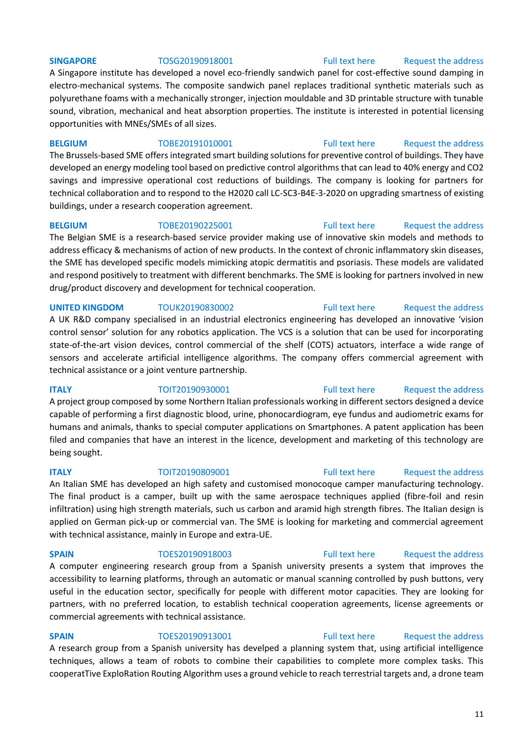A Singapore institute has developed a novel eco-friendly sandwich panel for cost-effective sound damping in electro-mechanical systems. The composite sandwich panel replaces traditional synthetic materials such as polyurethane foams with a mechanically stronger, injection mouldable and 3D printable structure with tunable sound, vibration, mechanical and heat absorption properties. The institute is interested in potential licensing opportunities with MNEs/SMEs of all sizes.

### **BELGIUM** TOBE20191010001 [Full text here](https://een.ec.europa.eu/tools/services/PRO/Profile/Detail/942c605b-dc56-4c62-bf36-7ccb64121f32) Request the address

The Brussels-based SME offers integrated smart building solutions for preventive control of buildings. They have developed an energy modeling tool based on predictive control algorithms that can lead to 40% energy and CO2 savings and impressive operational cost reductions of buildings. The company is looking for partners for technical collaboration and to respond to the H2020 call LC-SC3-B4E-3-2020 on upgrading smartness of existing buildings, under a research cooperation agreement.

**BELGIUM** TOBE20190225001 [Full text here](https://een.ec.europa.eu/tools/services/PRO/Profile/Detail/11169ccf-9778-414b-9fb6-022ab1fad242) Request the address The Belgian SME is a research-based service provider making use of innovative skin models and methods to address efficacy & mechanisms of action of new products. In the context of chronic inflammatory skin diseases, the SME has developed specific models mimicking atopic dermatitis and psoriasis. These models are validated and respond positively to treatment with different benchmarks. The SME is looking for partners involved in new drug/product discovery and development for technical cooperation.

### **UNITED KINGDOM** TOUK20190830002 **Full text here** Request the address

A UK R&D company specialised in an industrial electronics engineering has developed an innovative 'vision control sensor' solution for any robotics application. The VCS is a solution that can be used for incorporating state-of-the-art vision devices, control commercial of the shelf (COTS) actuators, interface a wide range of sensors and accelerate artificial intelligence algorithms. The company offers commercial agreement with technical assistance or a joint venture partnership.

## **ITALY TOIT20190930001** [Full text here](https://een.ec.europa.eu/tools/services/PRO/Profile/Detail/15505ef4-3875-482a-a763-28603788ca12) Request the address

A project group composed by some Northern Italian professionals working in different sectors designed a device capable of performing a first diagnostic blood, urine, phonocardiogram, eye fundus and audiometric exams for humans and animals, thanks to special computer applications on Smartphones. A patent application has been filed and companies that have an interest in the licence, development and marketing of this technology are being sought.

The final product is a camper, built up with the same aerospace techniques applied (fibre-foil and resin infiltration) using high strength materials, such us carbon and aramid high strength fibres. The Italian design is applied on German pick-up or commercial van. The SME is looking for marketing and commercial agreement with technical assistance, mainly in Europe and extra-UE.

### **SPAIN** TOES20190918003 [Full text here](https://een.ec.europa.eu/tools/services/PRO/Profile/Detail/6fca4e39-5e87-43c0-a617-2528cc8b7e19) Request the address

## A computer engineering research group from a Spanish university presents a system that improves the accessibility to learning platforms, through an automatic or manual scanning controlled by push buttons, very useful in the education sector, specifically for people with different motor capacities. They are looking for partners, with no preferred location, to establish technical cooperation agreements, license agreements or commercial agreements with technical assistance.

**SPAIN** TOES20190913001 [Full text here](https://een.ec.europa.eu/tools/services/PRO/Profile/Detail/a08343eb-247d-4a43-a042-dd6d1f00f778) Request the address A research group from a Spanish university has develped a planning system that, using artificial intelligence techniques, allows a team of robots to combine their capabilities to complete more complex tasks. This cooperatTive ExploRation Routing Algorithm uses a ground vehicle to reach terrestrial targets and, a drone team

# **ITALY TOIT20190809001** [Full text here](https://een.ec.europa.eu/tools/services/PRO/Profile/Detail/4edfed1d-93dd-427a-b1be-1424cdcf92b8) Request the address An Italian SME has developed an high safety and customised monocoque camper manufacturing technology.

11

## **SINGAPORE** TOSG20190918001 [Full text here](https://een.ec.europa.eu/tools/services/PRO/Profile/Detail/6056149a-298f-44ad-ad31-def4a969fb6e) Request the address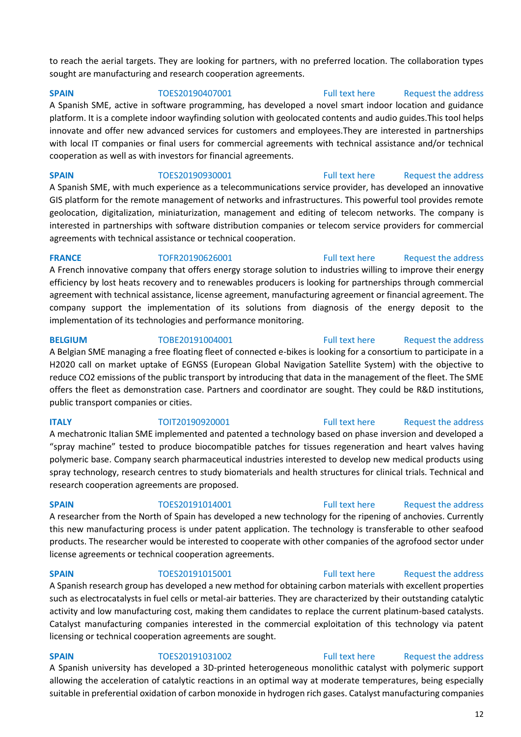to reach the aerial targets. They are looking for partners, with no preferred location. The collaboration types sought are manufacturing and research cooperation agreements.

## **SPAIN** TOES20190407001 [Full text here](https://een.ec.europa.eu/tools/services/PRO/Profile/Detail/4a84d174-c7de-4a3c-b25a-23c040d693de) Request the address

A Spanish SME, active in software programming, has developed a novel smart indoor location and guidance platform. It is a complete indoor wayfinding solution with geolocated contents and audio guides.This tool helps innovate and offer new advanced services for customers and employees.They are interested in partnerships with local IT companies or final users for commercial agreements with technical assistance and/or technical cooperation as well as with investors for financial agreements.

**SPAIN** TOES20190930001 [Full text here](https://een.ec.europa.eu/tools/services/PRO/Profile/Detail/7c306dd9-3dc4-4549-bdcf-9ba0734ffb06) Request the address A Spanish SME, with much experience as a telecommunications service provider, has developed an innovative GIS platform for the remote management of networks and infrastructures. This powerful tool provides remote geolocation, digitalization, miniaturization, management and editing of telecom networks. The company is interested in partnerships with software distribution companies or telecom service providers for commercial agreements with technical assistance or technical cooperation.

**FRANCE** TOFR20190626001 [Full text here](https://een.ec.europa.eu/tools/services/PRO/Profile/Detail/dd50ff34-e846-4e16-bbec-e28c76512c4c) Request the address A French innovative company that offers energy storage solution to industries willing to improve their energy efficiency by lost heats recovery and to renewables producers is looking for partnerships through commercial agreement with technical assistance, license agreement, manufacturing agreement or financial agreement. The company support the implementation of its solutions from diagnosis of the energy deposit to the implementation of its technologies and performance monitoring.

## **BELGIUM** TOBE20191004001 [Full text here](https://een.ec.europa.eu/tools/services/PRO/Profile/Detail/0464b52c-7c8a-4f5a-9a11-6218fffc2b14) Request the address

## A Belgian SME managing a free floating fleet of connected e-bikes is looking for a consortium to participate in a H2020 call on market uptake of EGNSS (European Global Navigation Satellite System) with the objective to reduce CO2 emissions of the public transport by introducing that data in the management of the fleet. The SME offers the fleet as demonstration case. Partners and coordinator are sought. They could be R&D institutions, public transport companies or cities.

A mechatronic Italian SME implemented and patented a technology based on phase inversion and developed a "spray machine" tested to produce biocompatible patches for tissues regeneration and heart valves having polymeric base. Company search pharmaceutical industries interested to develop new medical products using spray technology, research centres to study biomaterials and health structures for clinical trials. Technical and

## **SPAIN** TOES20191014001 [Full text here](https://een.ec.europa.eu/tools/services/PRO/Profile/Detail/bd9021ff-aa91-442a-a68f-ebdc9296ac28) Request the address

research cooperation agreements are proposed.

A researcher from the North of Spain has developed a new technology for the ripening of anchovies. Currently this new manufacturing process is under patent application. The technology is transferable to other seafood products. The researcher would be interested to cooperate with other companies of the agrofood sector under license agreements or technical cooperation agreements.

### **SPAIN** TOES20191015001 [Full text here](https://een.ec.europa.eu/tools/services/PRO/Profile/Detail/5a1e4e6d-14fa-497f-9f2b-8af145241da4) Request the address

A Spanish research group has developed a new method for obtaining carbon materials with excellent properties such as electrocatalysts in fuel cells or metal-air batteries. They are characterized by their outstanding catalytic activity and low manufacturing cost, making them candidates to replace the current platinum-based catalysts. Catalyst manufacturing companies interested in the commercial exploitation of this technology via patent licensing or technical cooperation agreements are sought.

A Spanish university has developed a 3D-printed heterogeneous monolithic catalyst with polymeric support allowing the acceleration of catalytic reactions in an optimal way at moderate temperatures, being especially suitable in preferential oxidation of carbon monoxide in hydrogen rich gases. Catalyst manufacturing companies

## **ITALY TOIT20190920001** [Full text here](https://een.ec.europa.eu/tools/services/PRO/Profile/Detail/d3f8c332-5726-4ba7-834a-0effd736b459) Request the address